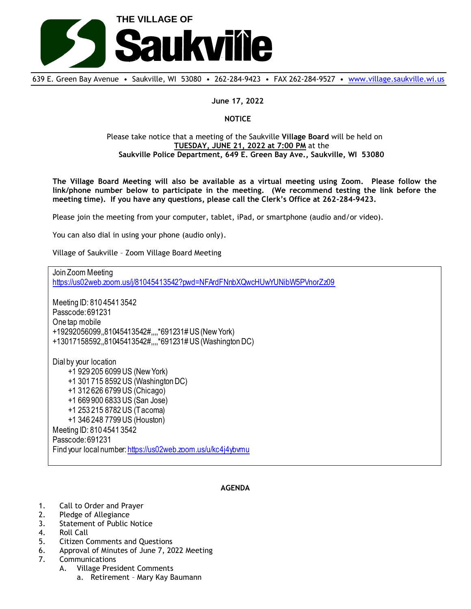

639 E. Green Bay Avenue • Saukville, WI 53080 • 262-284-9423 • FAX 262-284-9527 • [www.village.saukville.wi.us](http://www.village.saukville.wi.us/)

**June 17, 2022**

## **NOTICE**

## Please take notice that a meeting of the Saukville **Village Board** will be held on **TUESDAY, JUNE 21, 2022 at 7:00 PM** at the **Saukville Police Department, 649 E. Green Bay Ave., Saukville, WI 53080**

**The Village Board Meeting will also be available as a virtual meeting using Zoom. Please follow the link/phone number below to participate in the meeting. (We recommend testing the link before the meeting time). If you have any questions, please call the Clerk's Office at 262-284-9423.**

Please join the meeting from your computer, tablet, iPad, or smartphone (audio and/or video).

You can also dial in using your phone (audio only).

Village of Saukville – Zoom Village Board Meeting

Join Zoom Meeting https://us02web.zoom.us/j/81045413542?pwd=NFArdFNnbXQwcHUwYUNibW5PVnorZz09 Meeting ID: 810 4541 3542 Passcode: 691231 One tap mobile +19292056099,,81045413542#,,,,\*691231# US (New York) +13017158592,,81045413542#,,,,\*691231# US (Washington DC) Dial by your location +1 929 205 6099 US (New York) +1 301 715 8592 US (Washington DC) +1 312 626 6799 US (Chicago) +1 669 900 6833 US (San Jose) +1 253 215 8782 US (Tacoma) +1 346 248 7799 US (Houston) Meeting ID: 810 4541 3542 Passcode: 691231 Find your local number: https://us02web.zoom.us/u/kc4j4ybvmu

## **AGENDA**

- 1. Call to Order and Prayer
- 2. Pledge of Allegiance
- 3. Statement of Public Notice
- 4. Roll Call
- 5. Citizen Comments and Questions
- 6. Approval of Minutes of June 7, 2022 Meeting
- 7. Communications
	- A. Village President Comments
		- a. Retirement Mary Kay Baumann